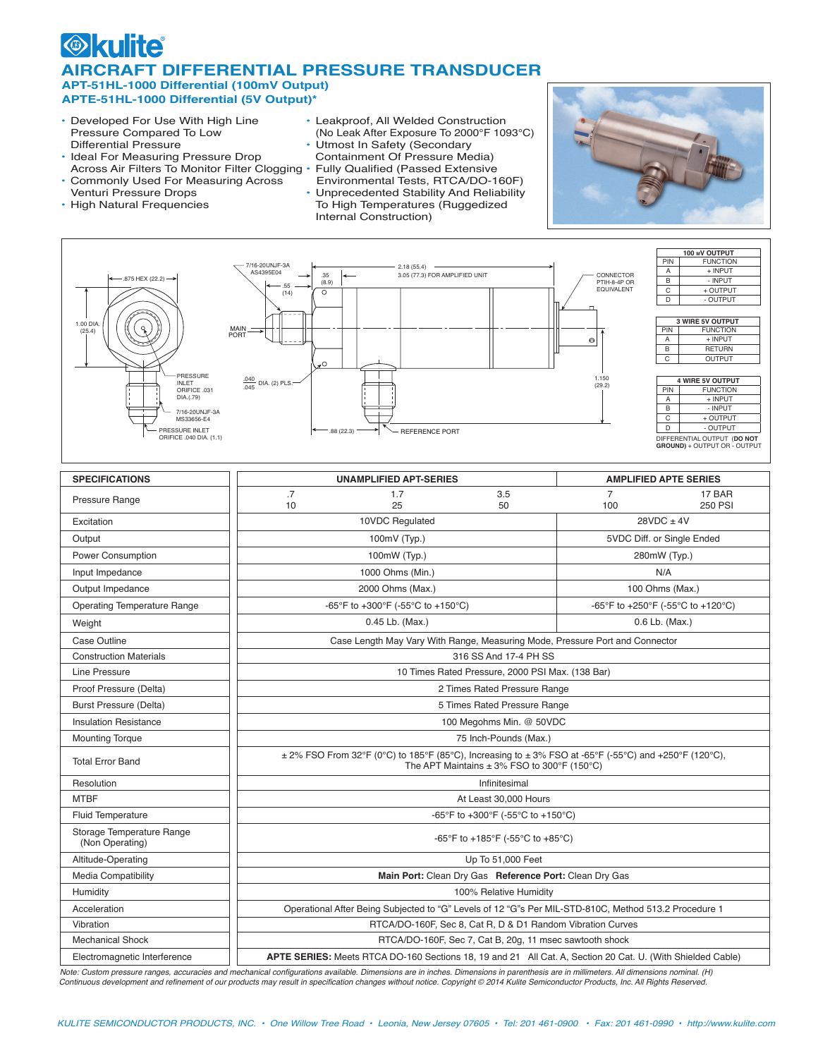## $\odot$   $\Box$ **AIRCRAFT DIFFERENTIAL PRESSURE TRANSDUCER APT-51HL-1000 Differential (100mV Output) APTE-51HL-1000 Differential (5V Output)\***

- Developed For Use With High Line Pressure Compared To Low Differential Pressure
- Ideal For Measuring Pressure Drop Across Air Filters To Monitor Filter Clogging .
- Commonly Used For Measuring Across Venturi Pressure Drops
- High Natural Frequencies
- Leakproof, All Welded Construction (No Leak After Exposure To 2000°F 1093°C)
- Utmost In Safety (Secondary Containment Of Pressure Media)
- **Fully Qualified (Passed Extensive** Environmental Tests, RTCA/DO-160F)
- Unprecedented Stability And Reliability To High Temperatures (Ruggedized Internal Construction)





| <b>SPECIFICATIONS</b>                        |                                                                                                                                                          | <b>UNAMPLIFIED APT-SERIES</b>     |                 |                                   | <b>AMPLIFIED APTE SERIES</b> |  |
|----------------------------------------------|----------------------------------------------------------------------------------------------------------------------------------------------------------|-----------------------------------|-----------------|-----------------------------------|------------------------------|--|
| Pressure Range                               | .7<br>10                                                                                                                                                 | 1.7<br>25                         | 3.5<br>50       | $\overline{7}$<br>100             | 17 BAR<br><b>250 PSI</b>     |  |
| Excitation                                   | 10VDC Regulated                                                                                                                                          |                                   | $28VDC \pm 4V$  |                                   |                              |  |
| Output                                       | 100mV (Typ.)                                                                                                                                             |                                   |                 | 5VDC Diff. or Single Ended        |                              |  |
| Power Consumption                            | 100mW (Typ.)                                                                                                                                             |                                   |                 | 280mW (Typ.)                      |                              |  |
| Input Impedance                              |                                                                                                                                                          | 1000 Ohms (Min.)                  |                 | N/A                               |                              |  |
| Output Impedance                             | 2000 Ohms (Max.)                                                                                                                                         |                                   | 100 Ohms (Max.) |                                   |                              |  |
| <b>Operating Temperature Range</b>           |                                                                                                                                                          | -65°F to +300°F (-55°C to +150°C) |                 | -65°F to +250°F (-55°C to +120°C) |                              |  |
| Weight                                       | 0.45 Lb. (Max.)                                                                                                                                          |                                   | 0.6 Lb. (Max.)  |                                   |                              |  |
| Case Outline                                 | Case Length May Vary With Range, Measuring Mode, Pressure Port and Connector                                                                             |                                   |                 |                                   |                              |  |
| <b>Construction Materials</b>                | 316 SS And 17-4 PH SS                                                                                                                                    |                                   |                 |                                   |                              |  |
| Line Pressure                                | 10 Times Rated Pressure, 2000 PSI Max. (138 Bar)                                                                                                         |                                   |                 |                                   |                              |  |
| Proof Pressure (Delta)                       | 2 Times Rated Pressure Range                                                                                                                             |                                   |                 |                                   |                              |  |
| <b>Burst Pressure (Delta)</b>                | 5 Times Rated Pressure Range                                                                                                                             |                                   |                 |                                   |                              |  |
| <b>Insulation Resistance</b>                 | 100 Megohms Min. @ 50VDC                                                                                                                                 |                                   |                 |                                   |                              |  |
| <b>Mounting Torque</b>                       | 75 Inch-Pounds (Max.)                                                                                                                                    |                                   |                 |                                   |                              |  |
| <b>Total Error Band</b>                      | ± 2% FSO From 32°F (0°C) to 185°F (85°C), Increasing to ± 3% FSO at -65°F (-55°C) and +250°F (120°C),<br>The APT Maintains $\pm$ 3% FSO to 300°F (150°C) |                                   |                 |                                   |                              |  |
| Resolution                                   | Infinitesimal                                                                                                                                            |                                   |                 |                                   |                              |  |
| <b>MTBF</b>                                  | At Least 30,000 Hours                                                                                                                                    |                                   |                 |                                   |                              |  |
| <b>Fluid Temperature</b>                     | -65°F to +300°F (-55°C to +150°C)                                                                                                                        |                                   |                 |                                   |                              |  |
| Storage Temperature Range<br>(Non Operating) | -65°F to +185°F (-55°C to +85°C)                                                                                                                         |                                   |                 |                                   |                              |  |
| Altitude-Operating                           | Up To 51,000 Feet                                                                                                                                        |                                   |                 |                                   |                              |  |
| <b>Media Compatibility</b>                   | Main Port: Clean Dry Gas Reference Port: Clean Dry Gas                                                                                                   |                                   |                 |                                   |                              |  |
| Humidity                                     | 100% Relative Humidity                                                                                                                                   |                                   |                 |                                   |                              |  |
| Acceleration                                 | Operational After Being Subjected to "G" Levels of 12 "G"s Per MIL-STD-810C, Method 513.2 Procedure 1                                                    |                                   |                 |                                   |                              |  |
| Vibration                                    | RTCA/DO-160F, Sec 8, Cat R, D & D1 Random Vibration Curves                                                                                               |                                   |                 |                                   |                              |  |
| <b>Mechanical Shock</b>                      | RTCA/DO-160F, Sec 7, Cat B, 20g, 11 msec sawtooth shock                                                                                                  |                                   |                 |                                   |                              |  |
| Electromagnetic Interference                 | APTE SERIES: Meets RTCA DO-160 Sections 18, 19 and 21 All Cat. A, Section 20 Cat. U. (With Shielded Cable)                                               |                                   |                 |                                   |                              |  |

Note: Custom pressure ranges, accuracies and mechanical configurations available. *Dimensions are in inches. Dimensions in parenthesis are in millimeters. All dimensions nominal. (H)* Continuous development and refinement of our products may result in specification changes without notice. Copyright © 2014 Kulite Semiconductor Products, Inc. All Rights Reserved.